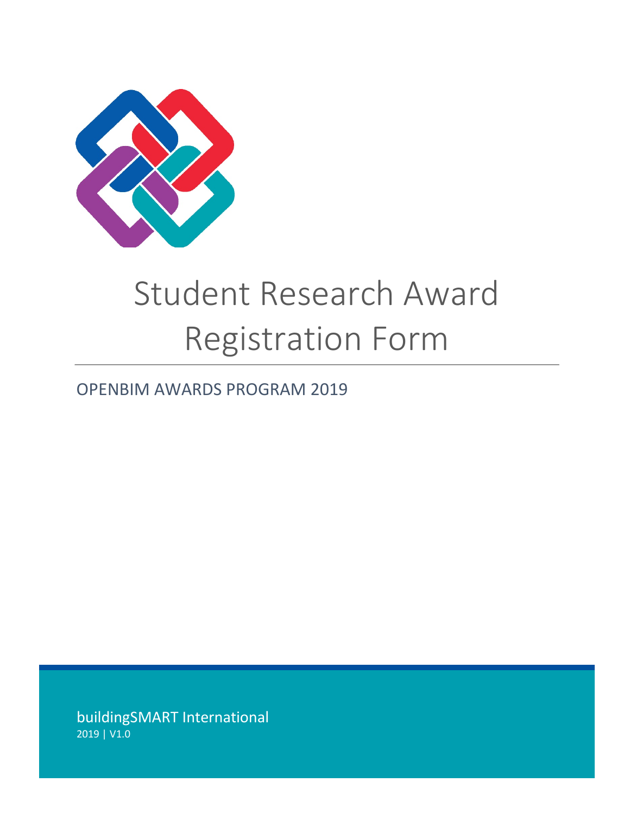

## Student Research Award Registration Form

## OPENBIM AWARDS PROGRAM 2019

buildingSMART International 2019 | V1.0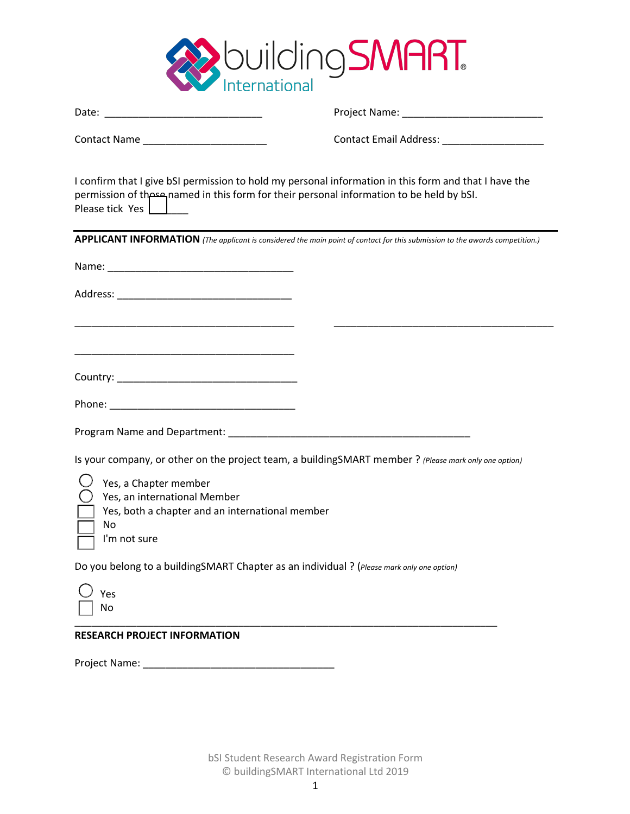

| Contact Name _________________________                                                                                         | Contact Email Address: _____________________                                                                                 |
|--------------------------------------------------------------------------------------------------------------------------------|------------------------------------------------------------------------------------------------------------------------------|
| permission of the equation in this form for their personal information to be held by bSI.<br>Please tick Yes                   | I confirm that I give bSI permission to hold my personal information in this form and that I have the                        |
|                                                                                                                                | APPLICANT INFORMATION (The applicant is considered the main point of contact for this submission to the awards competition.) |
|                                                                                                                                |                                                                                                                              |
|                                                                                                                                |                                                                                                                              |
| <u> 1989 - Johann John Stone, markin film yn y brening yn y brening yn y brening yn y brening yn y brening yn y b</u>          |                                                                                                                              |
|                                                                                                                                |                                                                                                                              |
|                                                                                                                                |                                                                                                                              |
|                                                                                                                                |                                                                                                                              |
|                                                                                                                                | Is your company, or other on the project team, a buildingSMART member ? (Please mark only one option)                        |
| Yes, a Chapter member<br>Yes, an international Member<br>Yes, both a chapter and an international member<br>Νo<br>I'm not sure |                                                                                                                              |
| Do you belong to a buildingSMART Chapter as an individual ? (Please mark only one option)                                      |                                                                                                                              |
| Yes<br>No                                                                                                                      |                                                                                                                              |
| <b>RESEARCH PROJECT INFORMATION</b>                                                                                            |                                                                                                                              |

Project Name: \_\_\_\_\_\_\_\_\_\_\_\_\_\_\_\_\_\_\_\_\_\_\_\_\_\_\_\_\_\_\_\_\_\_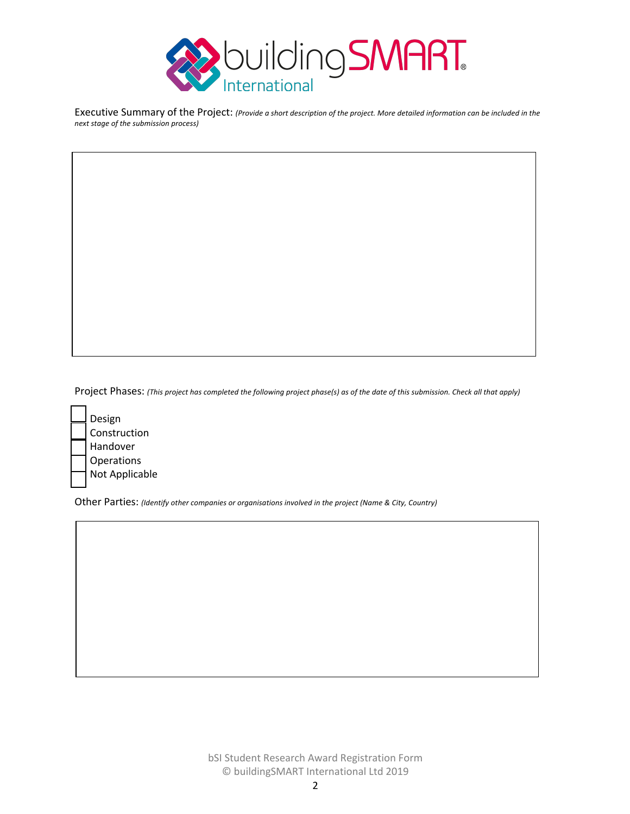

Executive Summary of the Project: *(Provide a short description of the project. More detailed information can be included in the next stage of the submission process)*

Project Phases: *(This project has completed the following project phase(s) as of the date of this submission. Check all that apply)*



Other Parties: *(Identify other companies or organisations involved in the project (Name & City, Country)*

bSI Student Research Award Registration Form © buildingSMART International Ltd 2019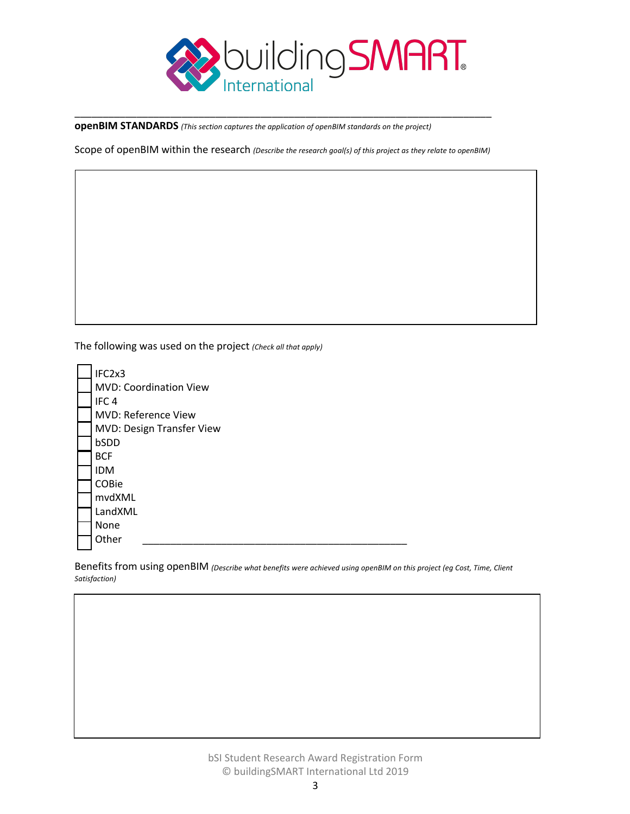

**openBIM STANDARDS** *(This section captures the application of openBIM standards on the project)*

Scope of openBIM within the research *(Describe the research goal(s) of this project as they relate to openBIM)*

\_\_\_\_\_\_\_\_\_\_\_\_\_\_\_\_\_\_\_\_\_\_\_\_\_\_\_\_\_\_\_\_\_\_\_\_\_\_\_\_\_\_\_\_\_\_\_\_\_\_\_\_\_\_\_\_\_\_\_\_\_\_\_\_\_\_\_\_\_\_\_\_\_\_

The following was used on the project *(Check all that apply)*

| IFC2x3                        |
|-------------------------------|
| <b>MVD: Coordination View</b> |
| IFC <sub>4</sub>              |
| <b>MVD: Reference View</b>    |
| MVD: Design Transfer View     |
| bSDD                          |
| <b>BCF</b>                    |
| <b>IDM</b>                    |
| COBie                         |
| mvdXML                        |
| LandXML                       |
| None                          |
| Other                         |

Benefits from using openBIM *(Describe what benefits were achieved using openBIM on this project (eg Cost, Time, Client Satisfaction)*

> bSI Student Research Award Registration Form © buildingSMART International Ltd 2019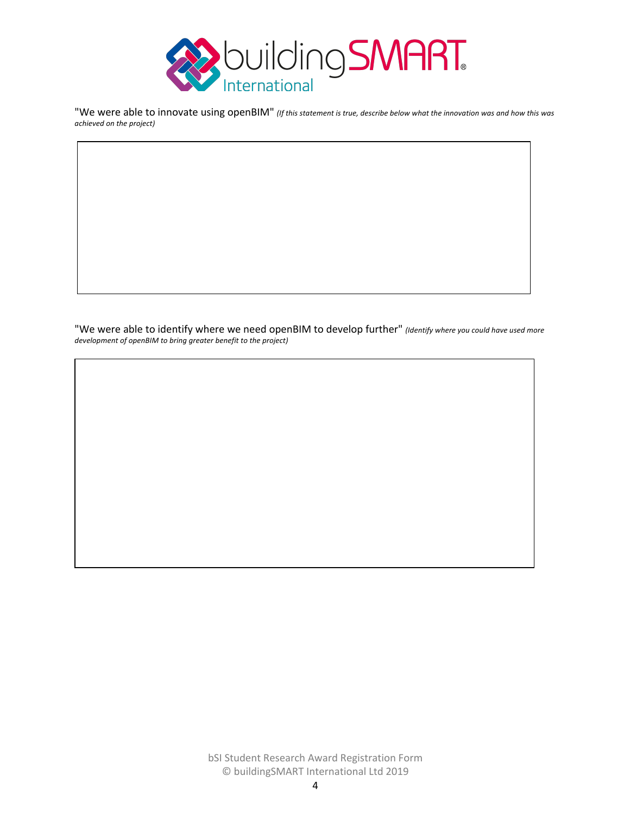

"We were able to innovate using openBIM" *(If this statement is true, describe below what the innovation was and how this was achieved on the project)*

"We were able to identify where we need openBIM to develop further" *(Identify where you could have used more development of openBIM to bring greater benefit to the project)*